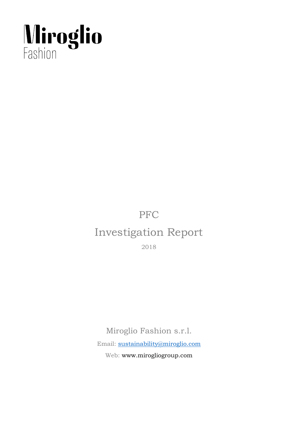

# **PFC** Investigation Report 2018

Miroglio Fashion s.r.l. Email: [sustainability@miroglio.com](mailto:sustainability@miroglio.com) Web: www.mirogliogroup.com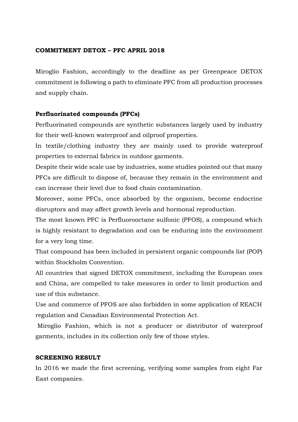# **COMMITMENT DETOX – PFC APRIL 2018**

Miroglio Fashion, accordingly to the deadline as per Greenpeace DETOX commitment is following a path to eliminate PFC from all production processes and supply chain.

# **Perfluorinated compounds (PFCs)**

Perfluorinated compounds are synthetic substances largely used by industry for their well-known waterproof and oilproof properties.

In textile/clothing industry they are mainly used to provide waterproof properties to external fabrics in outdoor garments.

Despite their wide scale use by industries, some studies pointed out that many PFCs are difficult to dispose of, because they remain in the environment and can increase their level due to food chain contamination.

Moreover, some PFCs, once absorbed by the organism, become endocrine disruptors and may affect growth levels and hormonal reproduction.

The most known PFC is Perfluorooctane sulfonic (PFOS), a compound which is highly resistant to degradation and can be enduring into the environment for a very long time.

That compound has been included in persistent organic compounds list (POP) within Stockholm Convention.

All countries that signed DETOX commitment, including the European ones and China, are compelled to take measures in order to limit production and use of this substance.

Use and commerce of PFOS are also forbidden in some application of REACH regulation and Canadian Environmental Protection Act.

Miroglio Fashion, which is not a producer or distributor of waterproof garments, includes in its collection only few of those styles.

## **SCREENING RESULT**

In 2016 we made the first screening, verifying some samples from eight Far East companies.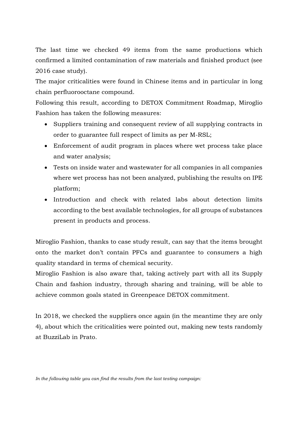The last time we checked 49 items from the same productions which confirmed a limited contamination of raw materials and finished product (see 2016 case study).

The major criticalities were found in Chinese items and in particular in long chain perfluorooctane compound.

Following this result, according to DETOX Commitment Roadmap, Miroglio Fashion has taken the following measures:

- Suppliers training and consequent review of all supplying contracts in order to guarantee full respect of limits as per M-RSL;
- Enforcement of audit program in places where wet process take place and water analysis;
- Tests on inside water and wastewater for all companies in all companies where wet process has not been analyzed, publishing the results on IPE platform;
- Introduction and check with related labs about detection limits according to the best available technologies, for all groups of substances present in products and process.

Miroglio Fashion, thanks to case study result, can say that the items brought onto the market don't contain PFCs and guarantee to consumers a high quality standard in terms of chemical security.

Miroglio Fashion is also aware that, taking actively part with all its Supply Chain and fashion industry, through sharing and training, will be able to achieve common goals stated in Greenpeace DETOX commitment.

In 2018, we checked the suppliers once again (in the meantime they are only 4), about which the criticalities were pointed out, making new tests randomly at BuzziLab in Prato.

*In the following table you can find the results from the last testing campaign:*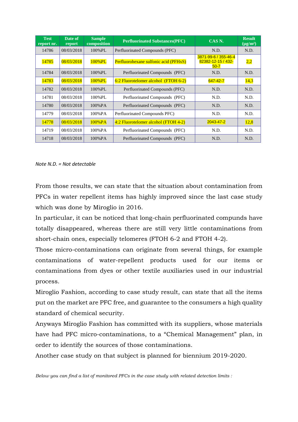| <b>Test</b><br>report nr. | Date of<br>report | <b>Sample</b><br>composition | <b>Perfluorinated Substances (PFC)</b> | CAS <sub>N</sub> .                                     | <b>Result</b><br>$(\mu g/m^2)$ |
|---------------------------|-------------------|------------------------------|----------------------------------------|--------------------------------------------------------|--------------------------------|
| 14786                     | 08/03/2018        | 100%PL                       | Perfluorinated Compounds (PFC)         | N.D.                                                   | N.D.                           |
| 14785                     | 08/03/2018        | 100%PL                       | Perfluorohexane sulfonic acid (PFHxS)  | 3871-99-6 / 355-46-4<br>82382-12-15 / 432-<br>$50 - 7$ | 2,2                            |
| 14784                     | 08/03/2018        | 100%PL                       | Perfluorinated Compounds (PFC)         | N.D.                                                   | N.D.                           |
| 14783                     | 08/03/2018        | 100%PL                       | 6:2 Fluorotelomer alcohol (FTOH 6-2)   | 647-42-7                                               | 14,3                           |
| 14782                     | 08/03/2018        | 100%PL                       | Perfluorinated Compounds (PFC)         | N.D.                                                   | N.D.                           |
| 14781                     | 08/03/2018        | 100%PL                       | Perfluorinated Compounds (PFC)         | N.D.                                                   | N.D.                           |
| 14780                     | 08/03/2018        | 100%PA                       | Perfluorinated Compounds (PFC)         | N.D.                                                   | N.D.                           |
| 14779                     | 08/03/2018        | 100%PA                       | Perfluorinated Compounds PFC)          | N.D.                                                   | N.D.                           |
| 14778                     | 08/03/2018        | $100\%PA$                    | 4:2 Fluorotelomer alcohol (FTOH 4-2)   | $2043 - 47 - 2$                                        | 12,8                           |
| 14719                     | 08/03/2018        | 100%PA                       | Perfluorinated Compounds (PFC)         | N.D.                                                   | N.D.                           |
| 14718                     | 08/03/2018        | 100%PA                       | Perfluorinated Compounds (PFC)         | N.D.                                                   | N.D.                           |

*Note N.D. = Not detectable*

From those results, we can state that the situation about contamination from PFCs in water repellent items has highly improved since the last case study which was done by Miroglio in 2016.

In particular, it can be noticed that long-chain perfluorinated compunds have totally disappeared, whereas there are still very little contaminations from short-chain ones, especially telomeres (FTOH 6-2 and FTOH 4-2).

Those micro-contaminations can originate from several things, for example contaminations of water-repellent products used for our items or contaminations from dyes or other textile auxiliaries used in our industrial process.

Miroglio Fashion, according to case study result, can state that all the items put on the market are PFC free, and guarantee to the consumers a high quality standard of chemical security.

Anyways Miroglio Fashion has committed with its suppliers, whose materials have had PFC micro-contaminations, to a "Chemical Management" plan, in order to identify the sources of those contaminations.

Another case study on that subject is planned for biennium 2019-2020.

*Below you can find a list of monitored PFCs in the case study with related detection limits :*